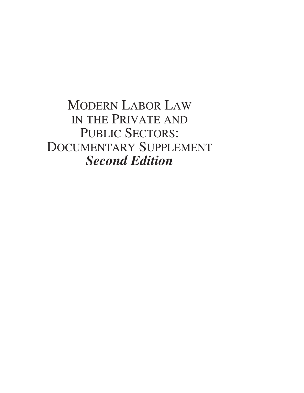## MODERN LABOR LAW IN THE PRIVATE AND PUBLIC SECTORS: DOCUMENTARY SUPPLEMENT *Second Edition*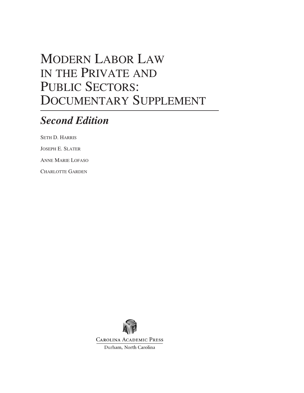## MODERN LABOR LAW IN THE PRIVATE AND PUBLIC SECTORS: DOCUMENTARY SUPPLEMENT

## *Second Edition*

SETH D. HARRIS

JOSEPH E. SLATER

ANNE MARIE LOFASO

CHARLOTTE GARDEN



**CAROLINA ACADEMIC PRESS** 

Durham, North Carolina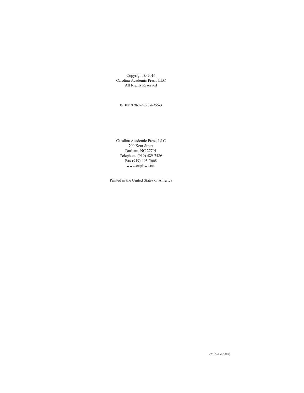Copyright © 2016 Carolina Academic Press, LLC All Rights Reserved

ISBN: 978-1-6328-4966-3

Carolina Academic Press, LLC 700 Kent Street Durham, NC 27701 Telephone (919) 489-7486 Fax (919) 493-5668 www.caplaw.com

Printed in the United States of America